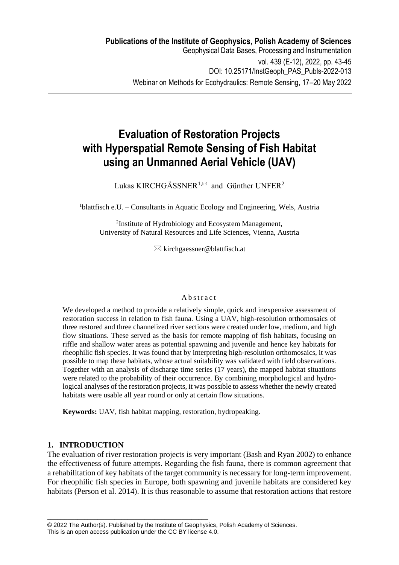# **Evaluation of Restoration Projects with Hyperspatial Remote Sensing of Fish Habitat using an Unmanned Aerial Vehicle (UAV)**

Lukas KIRCHGÄSSNER<sup>1, $\boxtimes$ </sup> and Günther UNFER<sup>2</sup>

 $1$ blattfisch e.U. – Consultants in Aquatic Ecology and Engineering, Wels, Austria

2 Institute of Hydrobiology and Ecosystem Management, University of Natural Resources and Life Sciences, Vienna, Austria

 $\boxtimes$  kirchgaessner@blattfisch.at

## **A** b s t r a c t

We developed a method to provide a relatively simple, quick and inexpensive assessment of restoration success in relation to fish fauna. Using a UAV, high-resolution orthomosaics of three restored and three channelized river sections were created under low, medium, and high flow situations. These served as the basis for remote mapping of fish habitats, focusing on riffle and shallow water areas as potential spawning and juvenile and hence key habitats for rheophilic fish species. It was found that by interpreting high-resolution orthomosaics, it was possible to map these habitats, whose actual suitability was validated with field observations. Together with an analysis of discharge time series (17 years), the mapped habitat situations were related to the probability of their occurrence. By combining morphological and hydrological analyses of the restoration projects, it was possible to assess whether the newly created habitats were usable all year round or only at certain flow situations.

**Keywords:** UAV, fish habitat mapping, restoration, hydropeaking.

# **1. INTRODUCTION**

The evaluation of river restoration projects is very important (Bash and Ryan 2002) to enhance the effectiveness of future attempts. Regarding the fish fauna, there is common agreement that a rehabilitation of key habitats of the target community is necessary for long-term improvement. For rheophilic fish species in Europe, both spawning and juvenile habitats are considered key habitats (Person et al. 2014). It is thus reasonable to assume that restoration actions that restore

\_\_\_\_\_\_\_\_\_\_\_\_\_\_\_\_\_\_\_\_\_\_\_\_\_\_\_\_\_\_\_\_\_\_\_\_\_\_\_\_\_\_\_\_\_\_\_\_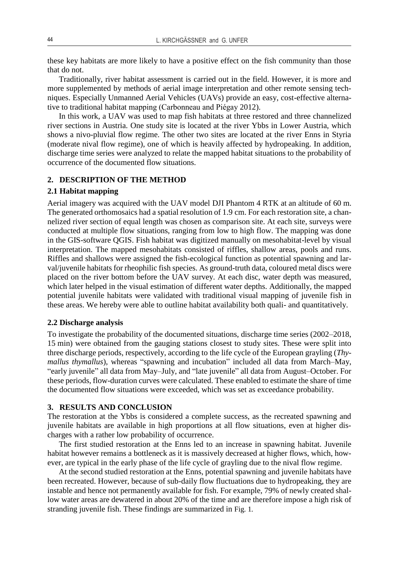these key habitats are more likely to have a positive effect on the fish community than those that do not.

Traditionally, river habitat assessment is carried out in the field. However, it is more and more supplemented by methods of aerial image interpretation and other remote sensing techniques. Especially Unmanned Aerial Vehicles (UAVs) provide an easy, cost-effective alternative to traditional habitat mapping (Carbonneau and Piégay 2012).

In this work, a UAV was used to map fish habitats at three restored and three channelized river sections in Austria. One study site is located at the river Ybbs in Lower Austria, which shows a nivo-pluvial flow regime. The other two sites are located at the river Enns in Styria (moderate nival flow regime), one of which is heavily affected by hydropeaking. In addition, discharge time series were analyzed to relate the mapped habitat situations to the probability of occurrence of the documented flow situations.

# **2. DESCRIPTION OF THE METHOD**

#### **2.1 Habitat mapping**

Aerial imagery was acquired with the UAV model DJI Phantom 4 RTK at an altitude of 60 m. The generated orthomosaics had a spatial resolution of 1.9 cm. For each restoration site, a channelized river section of equal length was chosen as comparison site. At each site, surveys were conducted at multiple flow situations, ranging from low to high flow. The mapping was done in the GIS-software QGIS. Fish habitat was digitized manually on mesohabitat-level by visual interpretation. The mapped mesohabitats consisted of riffles, shallow areas, pools and runs. Riffles and shallows were assigned the fish-ecological function as potential spawning and larval/juvenile habitats for rheophilic fish species. As ground-truth data, coloured metal discs were placed on the river bottom before the UAV survey. At each disc, water depth was measured, which later helped in the visual estimation of different water depths. Additionally, the mapped potential juvenile habitats were validated with traditional visual mapping of juvenile fish in these areas. We hereby were able to outline habitat availability both quali- and quantitatively.

### **2.2 Discharge analysis**

To investigate the probability of the documented situations, discharge time series (2002–2018, 15 min) were obtained from the gauging stations closest to study sites. These were split into three discharge periods, respectively, according to the life cycle of the European grayling (*Thymallus thymallus*), whereas "spawning and incubation" included all data from March–May, "early juvenile" all data from May–July, and "late juvenile" all data from August–October. For these periods, flow-duration curves were calculated. These enabled to estimate the share of time the documented flow situations were exceeded, which was set as exceedance probability.

## **3. RESULTS AND CONCLUSION**

The restoration at the Ybbs is considered a complete success, as the recreated spawning and juvenile habitats are available in high proportions at all flow situations, even at higher discharges with a rather low probability of occurrence.

The first studied restoration at the Enns led to an increase in spawning habitat. Juvenile habitat however remains a bottleneck as it is massively decreased at higher flows, which, however, are typical in the early phase of the life cycle of grayling due to the nival flow regime.

At the second studied restoration at the Enns, potential spawning and juvenile habitats have been recreated. However, because of sub-daily flow fluctuations due to hydropeaking, they are instable and hence not permanently available for fish. For example, 79% of newly created shallow water areas are dewatered in about 20% of the time and are therefore impose a high risk of stranding juvenile fish. These findings are summarized in Fig. 1*.*